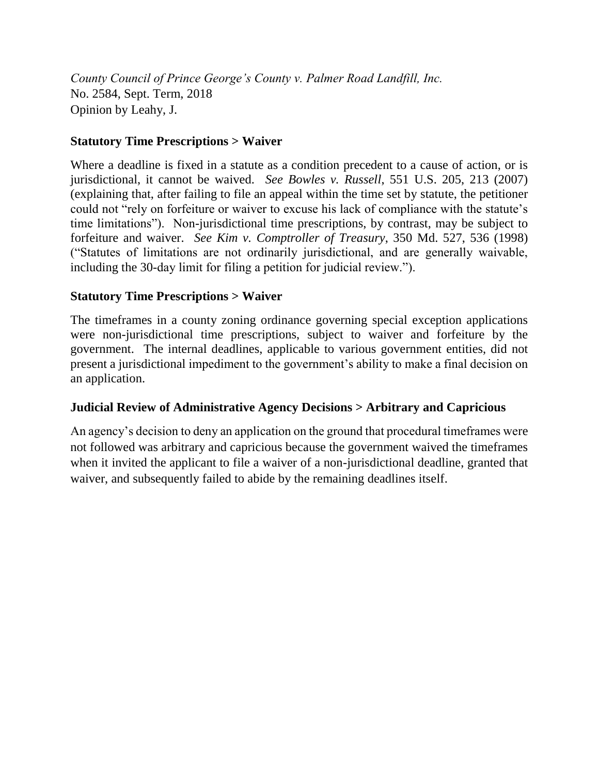*County Council of Prince George's County v. Palmer Road Landfill, Inc.* No. 2584, Sept. Term, 2018 Opinion by Leahy, J.

# **Statutory Time Prescriptions > Waiver**

Where a deadline is fixed in a statute as a condition precedent to a cause of action, or is jurisdictional, it cannot be waived. *See Bowles v. Russell*, 551 U.S. 205, 213 (2007) (explaining that, after failing to file an appeal within the time set by statute, the petitioner could not "rely on forfeiture or waiver to excuse his lack of compliance with the statute's time limitations"). Non-jurisdictional time prescriptions, by contrast, may be subject to forfeiture and waiver. *See Kim v. Comptroller of Treasury*, 350 Md. 527, 536 (1998) ("Statutes of limitations are not ordinarily jurisdictional, and are generally waivable, including the 30-day limit for filing a petition for judicial review.").

# **Statutory Time Prescriptions > Waiver**

The timeframes in a county zoning ordinance governing special exception applications were non-jurisdictional time prescriptions, subject to waiver and forfeiture by the government. The internal deadlines, applicable to various government entities, did not present a jurisdictional impediment to the government's ability to make a final decision on an application.

# **Judicial Review of Administrative Agency Decisions > Arbitrary and Capricious**

An agency's decision to deny an application on the ground that procedural timeframes were not followed was arbitrary and capricious because the government waived the timeframes when it invited the applicant to file a waiver of a non-jurisdictional deadline, granted that waiver, and subsequently failed to abide by the remaining deadlines itself.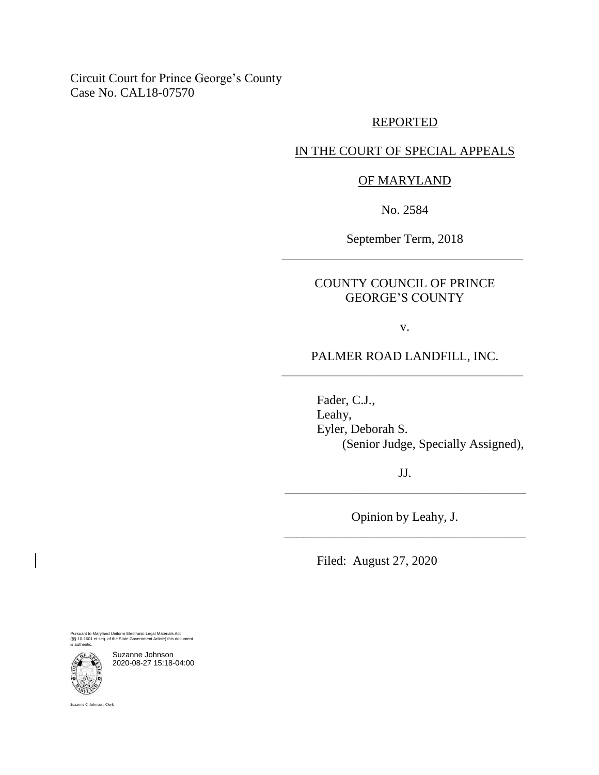Circuit Court for Prince George's County Case No. CAL18-07570

## REPORTED

## IN THE COURT OF SPECIAL APPEALS

## OF MARYLAND

No. 2584

September Term, 2018 \_\_\_\_\_\_\_\_\_\_\_\_\_\_\_\_\_\_\_\_\_\_\_\_\_\_\_\_\_\_\_\_\_\_\_\_\_\_

# COUNTY COUNCIL OF PRINCE GEORGE'S COUNTY

v.

# PALMER ROAD LANDFILL, INC. \_\_\_\_\_\_\_\_\_\_\_\_\_\_\_\_\_\_\_\_\_\_\_\_\_\_\_\_\_\_\_\_\_\_\_\_\_\_

Fader, C.J., Leahy, Eyler, Deborah S. (Senior Judge, Specially Assigned),

JJ. \_\_\_\_\_\_\_\_\_\_\_\_\_\_\_\_\_\_\_\_\_\_\_\_\_\_\_\_\_\_\_\_\_\_\_\_\_\_

Opinion by Leahy, J. \_\_\_\_\_\_\_\_\_\_\_\_\_\_\_\_\_\_\_\_\_\_\_\_\_\_\_\_\_\_\_\_\_\_\_\_\_\_

Filed: August 27, 2020

Pursuant to Maryland Uniform Electronic Legal Materials Act (§§ 10-1601 et seq. of the State Government Article) this document is authentic.

Suzanne Johnson 2020-08-27 15:18-04:00

Suzanne C. Johnson, Clerk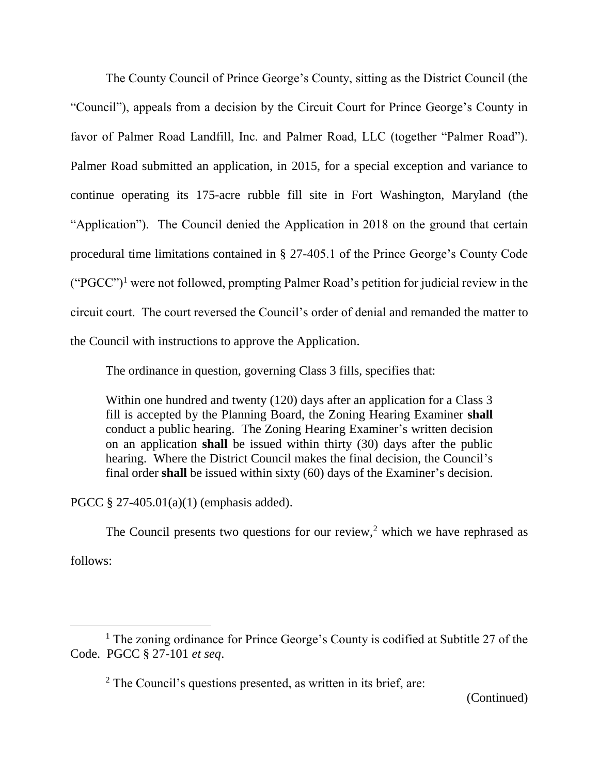The County Council of Prince George's County, sitting as the District Council (the "Council"), appeals from a decision by the Circuit Court for Prince George's County in favor of Palmer Road Landfill, Inc. and Palmer Road, LLC (together "Palmer Road"). Palmer Road submitted an application, in 2015, for a special exception and variance to continue operating its 175-acre rubble fill site in Fort Washington, Maryland (the "Application"). The Council denied the Application in 2018 on the ground that certain procedural time limitations contained in § 27-405.1 of the Prince George's County Code ("PGCC")<sup>1</sup> were not followed, prompting Palmer Road's petition for judicial review in the circuit court. The court reversed the Council's order of denial and remanded the matter to the Council with instructions to approve the Application.

The ordinance in question, governing Class 3 fills, specifies that:

Within one hundred and twenty (120) days after an application for a Class 3 fill is accepted by the Planning Board, the Zoning Hearing Examiner **shall**  conduct a public hearing. The Zoning Hearing Examiner's written decision on an application **shall** be issued within thirty (30) days after the public hearing. Where the District Council makes the final decision, the Council's final order **shall** be issued within sixty (60) days of the Examiner's decision.

PGCC § 27-405.01(a)(1) (emphasis added).

The Council presents two questions for our review,<sup>2</sup> which we have rephrased as

follows:

<sup>&</sup>lt;sup>1</sup> The zoning ordinance for Prince George's County is codified at Subtitle 27 of the Code. PGCC § 27-101 *et seq*.

<sup>2</sup> The Council's questions presented, as written in its brief, are: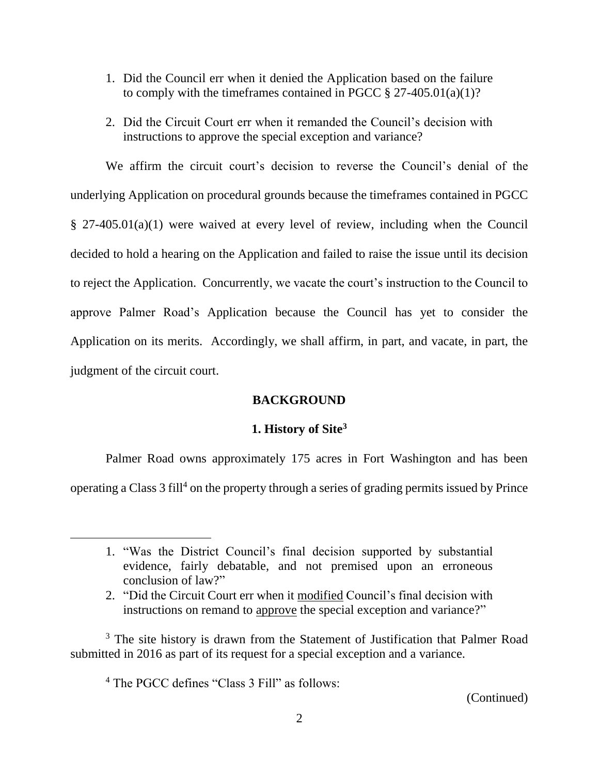- 1. Did the Council err when it denied the Application based on the failure to comply with the timeframes contained in PGCC  $\S 27-405.01(a)(1)?$
- 2. Did the Circuit Court err when it remanded the Council's decision with instructions to approve the special exception and variance?

We affirm the circuit court's decision to reverse the Council's denial of the underlying Application on procedural grounds because the timeframes contained in PGCC § 27-405.01(a)(1) were waived at every level of review, including when the Council decided to hold a hearing on the Application and failed to raise the issue until its decision to reject the Application. Concurrently, we vacate the court's instruction to the Council to approve Palmer Road's Application because the Council has yet to consider the Application on its merits. Accordingly, we shall affirm, in part, and vacate, in part, the judgment of the circuit court.

# **BACKGROUND**

# **1. History of Site<sup>3</sup>**

Palmer Road owns approximately 175 acres in Fort Washington and has been operating a Class 3 fill<sup>4</sup> on the property through a series of grading permits issued by Prince

<sup>3</sup> The site history is drawn from the Statement of Justification that Palmer Road submitted in 2016 as part of its request for a special exception and a variance.

<sup>4</sup> The PGCC defines "Class 3 Fill" as follows:

<sup>1.</sup> "Was the District Council's final decision supported by substantial evidence, fairly debatable, and not premised upon an erroneous conclusion of law?"

<sup>2.</sup> "Did the Circuit Court err when it modified Council's final decision with instructions on remand to approve the special exception and variance?"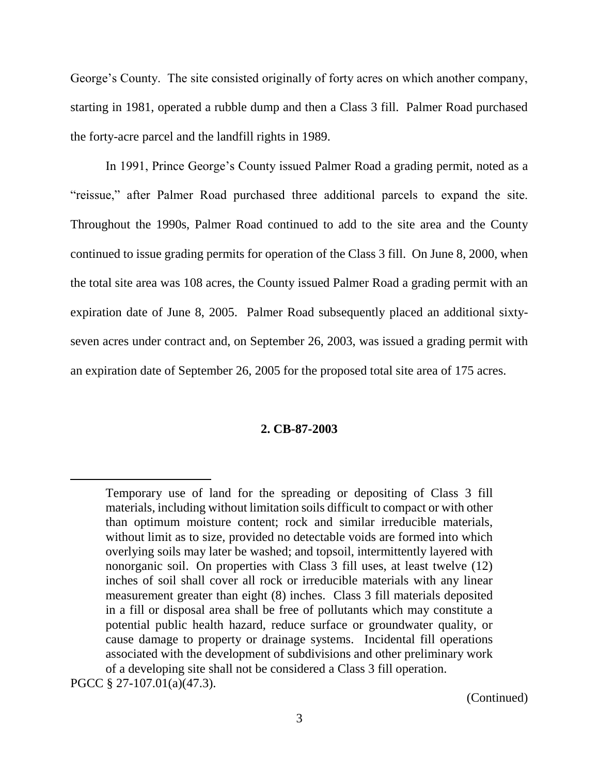George's County. The site consisted originally of forty acres on which another company, starting in 1981, operated a rubble dump and then a Class 3 fill. Palmer Road purchased the forty-acre parcel and the landfill rights in 1989.

In 1991, Prince George's County issued Palmer Road a grading permit, noted as a "reissue," after Palmer Road purchased three additional parcels to expand the site. Throughout the 1990s, Palmer Road continued to add to the site area and the County continued to issue grading permits for operation of the Class 3 fill. On June 8, 2000, when the total site area was 108 acres, the County issued Palmer Road a grading permit with an expiration date of June 8, 2005. Palmer Road subsequently placed an additional sixtyseven acres under contract and, on September 26, 2003, was issued a grading permit with an expiration date of September 26, 2005 for the proposed total site area of 175 acres.

#### **2. CB-87-2003**

 $\overline{a}$ 

(Continued)

Temporary use of land for the spreading or depositing of Class 3 fill materials, including without limitation soils difficult to compact or with other than optimum moisture content; rock and similar irreducible materials, without limit as to size, provided no detectable voids are formed into which overlying soils may later be washed; and topsoil, intermittently layered with nonorganic soil. On properties with Class 3 fill uses, at least twelve (12) inches of soil shall cover all rock or irreducible materials with any linear measurement greater than eight (8) inches. Class 3 fill materials deposited in a fill or disposal area shall be free of pollutants which may constitute a potential public health hazard, reduce surface or groundwater quality, or cause damage to property or drainage systems. Incidental fill operations associated with the development of subdivisions and other preliminary work of a developing site shall not be considered a Class 3 fill operation.

PGCC § 27-107.01(a)(47.3).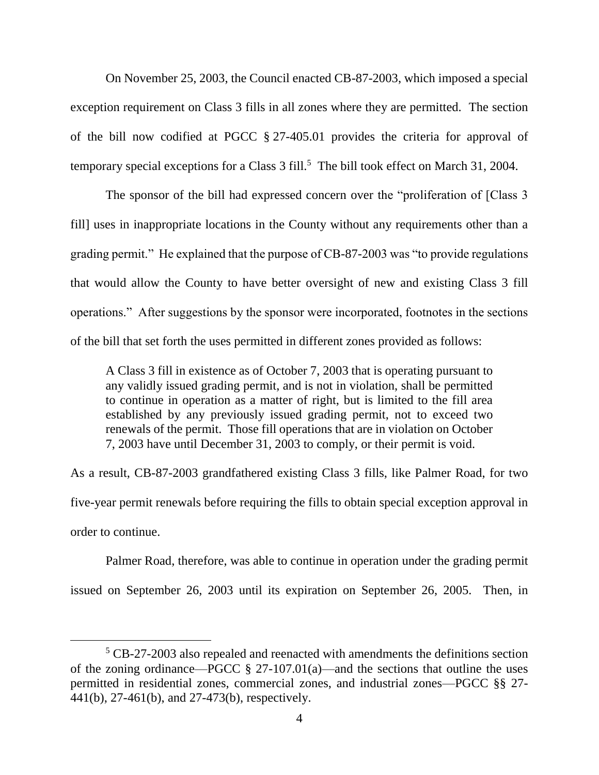On November 25, 2003, the Council enacted CB-87-2003, which imposed a special exception requirement on Class 3 fills in all zones where they are permitted. The section of the bill now codified at PGCC § 27-405.01 provides the criteria for approval of temporary special exceptions for a Class 3 fill.<sup>5</sup> The bill took effect on March 31, 2004.

The sponsor of the bill had expressed concern over the "proliferation of [Class 3 fill] uses in inappropriate locations in the County without any requirements other than a grading permit." He explained that the purpose of CB-87-2003 was "to provide regulations that would allow the County to have better oversight of new and existing Class 3 fill operations." After suggestions by the sponsor were incorporated, footnotes in the sections of the bill that set forth the uses permitted in different zones provided as follows:

A Class 3 fill in existence as of October 7, 2003 that is operating pursuant to any validly issued grading permit, and is not in violation, shall be permitted to continue in operation as a matter of right, but is limited to the fill area established by any previously issued grading permit, not to exceed two renewals of the permit. Those fill operations that are in violation on October 7, 2003 have until December 31, 2003 to comply, or their permit is void.

As a result, CB-87-2003 grandfathered existing Class 3 fills, like Palmer Road, for two five-year permit renewals before requiring the fills to obtain special exception approval in order to continue.

Palmer Road, therefore, was able to continue in operation under the grading permit issued on September 26, 2003 until its expiration on September 26, 2005. Then, in

<sup>&</sup>lt;sup>5</sup> CB-27-2003 also repealed and reenacted with amendments the definitions section of the zoning ordinance—PGCC  $\S$  27-107.01(a)—and the sections that outline the uses permitted in residential zones, commercial zones, and industrial zones—PGCC §§ 27- 441(b), 27-461(b), and 27-473(b), respectively.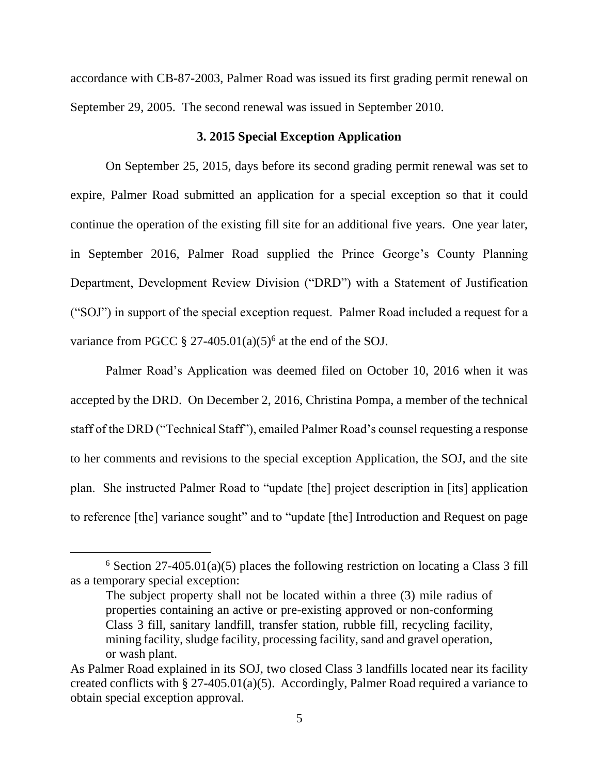accordance with CB-87-2003, Palmer Road was issued its first grading permit renewal on September 29, 2005. The second renewal was issued in September 2010.

### **3. 2015 Special Exception Application**

On September 25, 2015, days before its second grading permit renewal was set to expire, Palmer Road submitted an application for a special exception so that it could continue the operation of the existing fill site for an additional five years. One year later, in September 2016, Palmer Road supplied the Prince George's County Planning Department, Development Review Division ("DRD") with a Statement of Justification ("SOJ") in support of the special exception request. Palmer Road included a request for a variance from PGCC § 27-405.01(a)(5)<sup>6</sup> at the end of the SOJ.

Palmer Road's Application was deemed filed on October 10, 2016 when it was accepted by the DRD. On December 2, 2016, Christina Pompa, a member of the technical staff of the DRD ("Technical Staff"), emailed Palmer Road's counsel requesting a response to her comments and revisions to the special exception Application, the SOJ, and the site plan. She instructed Palmer Road to "update [the] project description in [its] application to reference [the] variance sought" and to "update [the] Introduction and Request on page

<sup>&</sup>lt;sup>6</sup> Section 27-405.01(a)(5) places the following restriction on locating a Class 3 fill as a temporary special exception:

The subject property shall not be located within a three (3) mile radius of properties containing an active or pre-existing approved or non-conforming Class 3 fill, sanitary landfill, transfer station, rubble fill, recycling facility, mining facility, sludge facility, processing facility, sand and gravel operation, or wash plant.

As Palmer Road explained in its SOJ, two closed Class 3 landfills located near its facility created conflicts with § 27-405.01(a)(5). Accordingly, Palmer Road required a variance to obtain special exception approval.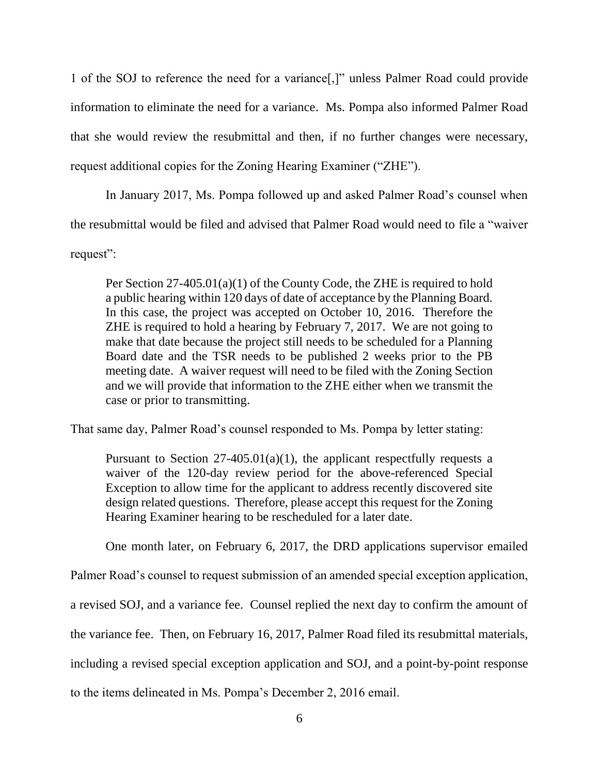1 of the SOJ to reference the need for a variance[,]" unless Palmer Road could provide information to eliminate the need for a variance. Ms. Pompa also informed Palmer Road that she would review the resubmittal and then, if no further changes were necessary, request additional copies for the Zoning Hearing Examiner ("ZHE").

In January 2017, Ms. Pompa followed up and asked Palmer Road's counsel when the resubmittal would be filed and advised that Palmer Road would need to file a "waiver request":

Per Section 27-405.01(a)(1) of the County Code, the ZHE is required to hold a public hearing within 120 days of date of acceptance by the Planning Board. In this case, the project was accepted on October 10, 2016. Therefore the ZHE is required to hold a hearing by February 7, 2017. We are not going to make that date because the project still needs to be scheduled for a Planning Board date and the TSR needs to be published 2 weeks prior to the PB meeting date. A waiver request will need to be filed with the Zoning Section and we will provide that information to the ZHE either when we transmit the case or prior to transmitting.

That same day, Palmer Road's counsel responded to Ms. Pompa by letter stating:

Pursuant to Section  $27-405.01(a)(1)$ , the applicant respectfully requests a waiver of the 120-day review period for the above-referenced Special Exception to allow time for the applicant to address recently discovered site design related questions. Therefore, please accept this request for the Zoning Hearing Examiner hearing to be rescheduled for a later date.

One month later, on February 6, 2017, the DRD applications supervisor emailed

Palmer Road's counsel to request submission of an amended special exception application,

a revised SOJ, and a variance fee. Counsel replied the next day to confirm the amount of

the variance fee. Then, on February 16, 2017, Palmer Road filed its resubmittal materials,

including a revised special exception application and SOJ, and a point-by-point response

to the items delineated in Ms. Pompa's December 2, 2016 email.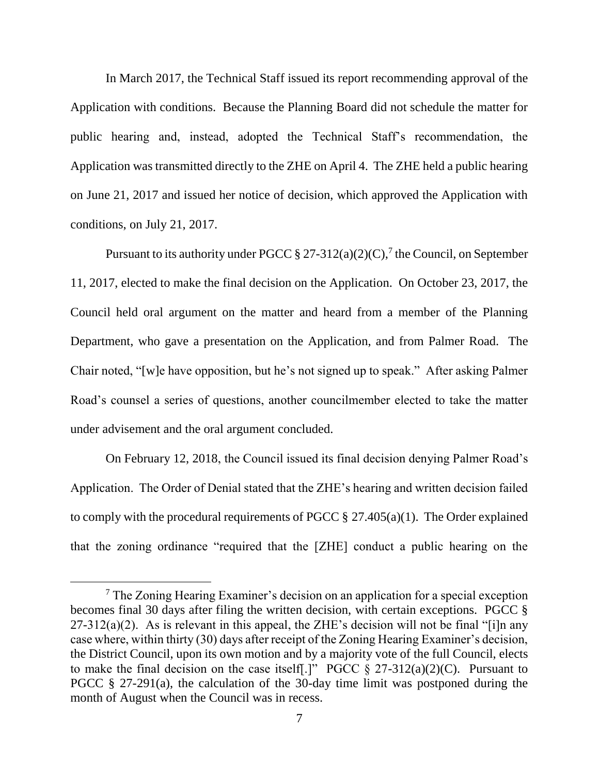In March 2017, the Technical Staff issued its report recommending approval of the Application with conditions. Because the Planning Board did not schedule the matter for public hearing and, instead, adopted the Technical Staff's recommendation, the Application was transmitted directly to the ZHE on April 4. The ZHE held a public hearing on June 21, 2017 and issued her notice of decision, which approved the Application with conditions, on July 21, 2017.

Pursuant to its authority under PGCC  $\S 27-312(a)(2)(C)$ , the Council, on September 11, 2017, elected to make the final decision on the Application. On October 23, 2017, the Council held oral argument on the matter and heard from a member of the Planning Department, who gave a presentation on the Application, and from Palmer Road. The Chair noted, "[w]e have opposition, but he's not signed up to speak." After asking Palmer Road's counsel a series of questions, another councilmember elected to take the matter under advisement and the oral argument concluded.

On February 12, 2018, the Council issued its final decision denying Palmer Road's Application. The Order of Denial stated that the ZHE's hearing and written decision failed to comply with the procedural requirements of PGCC  $\S 27.405(a)(1)$ . The Order explained that the zoning ordinance "required that the [ZHE] conduct a public hearing on the

<sup>7</sup> The Zoning Hearing Examiner's decision on an application for a special exception becomes final 30 days after filing the written decision, with certain exceptions. PGCC §  $27-312(a)(2)$ . As is relevant in this appeal, the ZHE's decision will not be final "[i]n any case where, within thirty (30) days after receipt of the Zoning Hearing Examiner's decision, the District Council, upon its own motion and by a majority vote of the full Council, elects to make the final decision on the case itself.]" PGCC  $\S 27-312(a)(2)(C)$ . Pursuant to PGCC  $\S$  27-291(a), the calculation of the 30-day time limit was postponed during the month of August when the Council was in recess.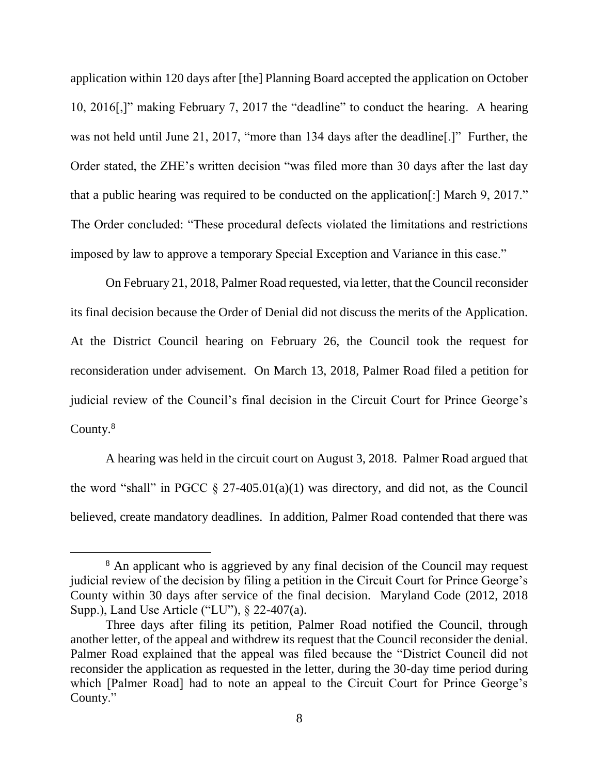application within 120 days after [the] Planning Board accepted the application on October 10, 2016[,]" making February 7, 2017 the "deadline" to conduct the hearing. A hearing was not held until June 21, 2017, "more than 134 days after the deadline." Further, the Order stated, the ZHE's written decision "was filed more than 30 days after the last day that a public hearing was required to be conducted on the application[:] March 9, 2017." The Order concluded: "These procedural defects violated the limitations and restrictions imposed by law to approve a temporary Special Exception and Variance in this case."

On February 21, 2018, Palmer Road requested, via letter, that the Council reconsider its final decision because the Order of Denial did not discuss the merits of the Application. At the District Council hearing on February 26, the Council took the request for reconsideration under advisement. On March 13, 2018, Palmer Road filed a petition for judicial review of the Council's final decision in the Circuit Court for Prince George's County.<sup>8</sup>

A hearing was held in the circuit court on August 3, 2018. Palmer Road argued that the word "shall" in PGCC  $\S 27-405.01(a)(1)$  was directory, and did not, as the Council believed, create mandatory deadlines. In addition, Palmer Road contended that there was

<sup>&</sup>lt;sup>8</sup> An applicant who is aggrieved by any final decision of the Council may request judicial review of the decision by filing a petition in the Circuit Court for Prince George's County within 30 days after service of the final decision. Maryland Code (2012, 2018 Supp.), Land Use Article ("LU"), § 22-407(a).

Three days after filing its petition, Palmer Road notified the Council, through another letter, of the appeal and withdrew its request that the Council reconsider the denial. Palmer Road explained that the appeal was filed because the "District Council did not reconsider the application as requested in the letter, during the 30-day time period during which [Palmer Road] had to note an appeal to the Circuit Court for Prince George's County."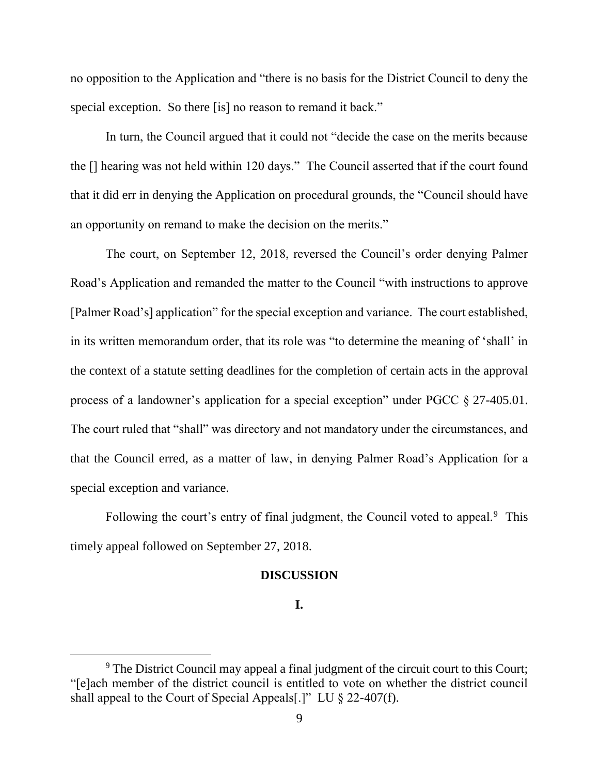no opposition to the Application and "there is no basis for the District Council to deny the special exception. So there [is] no reason to remand it back."

In turn, the Council argued that it could not "decide the case on the merits because the [] hearing was not held within 120 days." The Council asserted that if the court found that it did err in denying the Application on procedural grounds, the "Council should have an opportunity on remand to make the decision on the merits."

The court, on September 12, 2018, reversed the Council's order denying Palmer Road's Application and remanded the matter to the Council "with instructions to approve [Palmer Road's] application" for the special exception and variance. The court established, in its written memorandum order, that its role was "to determine the meaning of 'shall' in the context of a statute setting deadlines for the completion of certain acts in the approval process of a landowner's application for a special exception" under PGCC § 27-405.01. The court ruled that "shall" was directory and not mandatory under the circumstances, and that the Council erred, as a matter of law, in denying Palmer Road's Application for a special exception and variance.

Following the court's entry of final judgment, the Council voted to appeal.<sup>9</sup> This timely appeal followed on September 27, 2018.

#### **DISCUSSION**

# **I.**

<sup>&</sup>lt;sup>9</sup> The District Council may appeal a final judgment of the circuit court to this Court; "[e]ach member of the district council is entitled to vote on whether the district council shall appeal to the Court of Special Appeals[.]" LU § 22-407(f).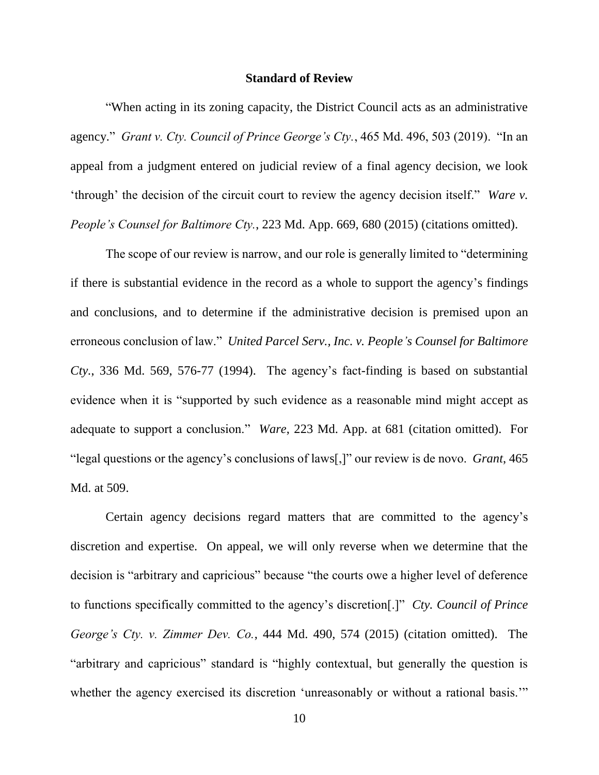#### **Standard of Review**

"When acting in its zoning capacity, the District Council acts as an administrative agency." *Grant v. Cty. Council of Prince George's Cty.*, 465 Md. 496, 503 (2019). "In an appeal from a judgment entered on judicial review of a final agency decision, we look 'through' the decision of the circuit court to review the agency decision itself." *Ware v. People's Counsel for Baltimore Cty.*, 223 Md. App. 669, 680 (2015) (citations omitted).

The scope of our review is narrow, and our role is generally limited to "determining if there is substantial evidence in the record as a whole to support the agency's findings and conclusions, and to determine if the administrative decision is premised upon an erroneous conclusion of law." *United Parcel Serv., Inc. v. People's Counsel for Baltimore Cty.*, 336 Md. 569, 576-77 (1994). The agency's fact-finding is based on substantial evidence when it is "supported by such evidence as a reasonable mind might accept as adequate to support a conclusion." *Ware*, 223 Md. App. at 681 (citation omitted). For "legal questions or the agency's conclusions of laws[,]" our review is de novo. *Grant*, 465 Md. at 509.

Certain agency decisions regard matters that are committed to the agency's discretion and expertise. On appeal, we will only reverse when we determine that the decision is "arbitrary and capricious" because "the courts owe a higher level of deference to functions specifically committed to the agency's discretion[.]" *Cty. Council of Prince George's Cty. v. Zimmer Dev. Co.*, 444 Md. 490, 574 (2015) (citation omitted). The "arbitrary and capricious" standard is "highly contextual, but generally the question is whether the agency exercised its discretion 'unreasonably or without a rational basis.'"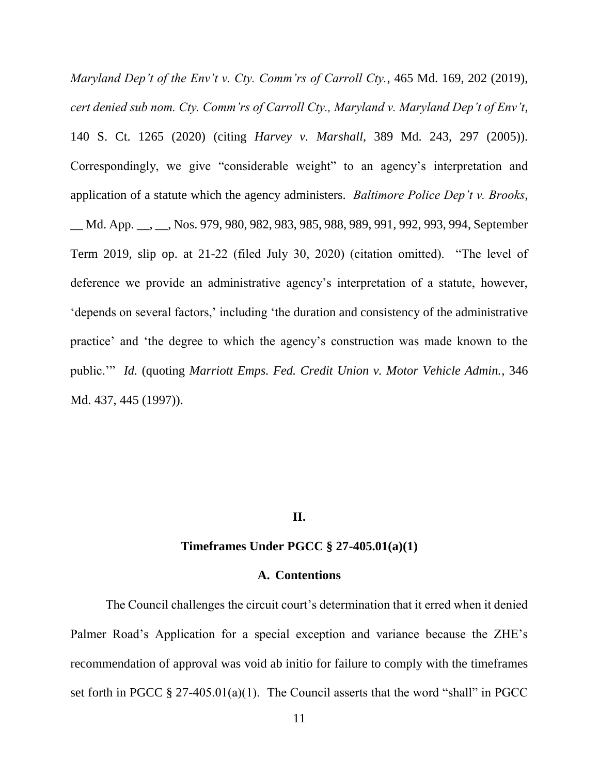*Maryland Dep't of the Env't v. Cty. Comm'rs of Carroll Cty.*, 465 Md. 169, 202 (2019), *cert denied sub nom. Cty. Comm'rs of Carroll Cty., Maryland v. Maryland Dep't of Env't*, 140 S. Ct. 1265 (2020) (citing *Harvey v. Marshall*, 389 Md. 243, 297 (2005)). Correspondingly, we give "considerable weight" to an agency's interpretation and application of a statute which the agency administers. *Baltimore Police Dep't v. Brooks*, \_\_ Md. App. \_\_, \_\_, Nos. 979, 980, 982, 983, 985, 988, 989, 991, 992, 993, 994, September Term 2019, slip op. at 21-22 (filed July 30, 2020) (citation omitted). "The level of deference we provide an administrative agency's interpretation of a statute, however, 'depends on several factors,' including 'the duration and consistency of the administrative practice' and 'the degree to which the agency's construction was made known to the public.'" *Id.* (quoting *Marriott Emps. Fed. Credit Union v. Motor Vehicle Admin.*, 346 Md. 437, 445 (1997)).

## **II.**

### **Timeframes Under PGCC § 27-405.01(a)(1)**

#### **A. Contentions**

The Council challenges the circuit court's determination that it erred when it denied Palmer Road's Application for a special exception and variance because the ZHE's recommendation of approval was void ab initio for failure to comply with the timeframes set forth in PGCC  $\S 27-405.01(a)(1)$ . The Council asserts that the word "shall" in PGCC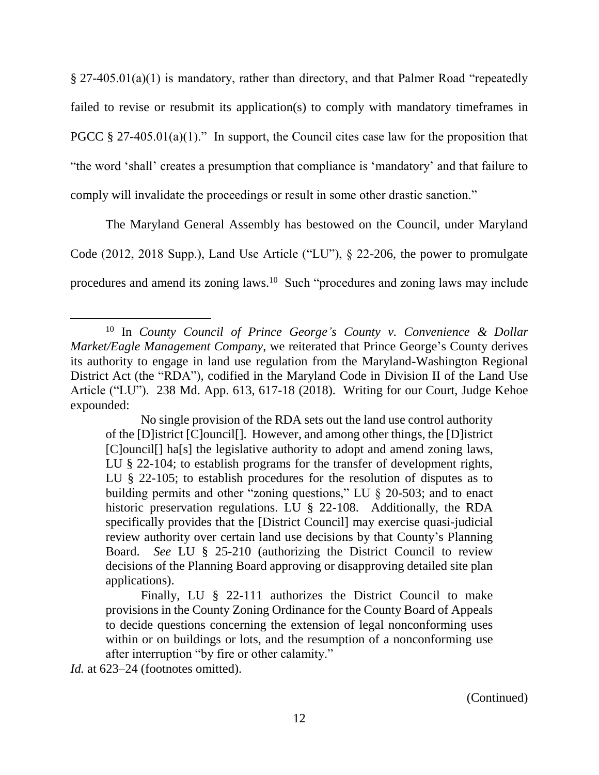§ 27-405.01(a)(1) is mandatory, rather than directory, and that Palmer Road "repeatedly failed to revise or resubmit its application(s) to comply with mandatory timeframes in PGCC  $\S 27-405.01(a)(1)$ ." In support, the Council cites case law for the proposition that "the word 'shall' creates a presumption that compliance is 'mandatory' and that failure to comply will invalidate the proceedings or result in some other drastic sanction."

The Maryland General Assembly has bestowed on the Council, under Maryland Code (2012, 2018 Supp.), Land Use Article ("LU"), § 22-206, the power to promulgate procedures and amend its zoning laws.<sup>10</sup> Such "procedures and zoning laws may include

Id. at 623–24 (footnotes omitted).

(Continued)

<sup>10</sup> In *County Council of Prince George's County v. Convenience & Dollar Market/Eagle Management Company*, we reiterated that Prince George's County derives its authority to engage in land use regulation from the Maryland-Washington Regional District Act (the "RDA"), codified in the Maryland Code in Division II of the Land Use Article ("LU"). 238 Md. App. 613, 617-18 (2018). Writing for our Court, Judge Kehoe expounded:

No single provision of the RDA sets out the land use control authority of the [D]istrict [C]ouncil[]. However, and among other things, the [D]istrict [C]ouncil[] ha[s] the legislative authority to adopt and amend zoning laws, LU § 22-104; to establish programs for the transfer of development rights, LU § 22-105; to establish procedures for the resolution of disputes as to building permits and other "zoning questions," LU § 20-503; and to enact historic preservation regulations. LU § 22-108. Additionally, the RDA specifically provides that the [District Council] may exercise quasi-judicial review authority over certain land use decisions by that County's Planning Board. *See* LU § 25-210 (authorizing the District Council to review decisions of the Planning Board approving or disapproving detailed site plan applications).

Finally, LU § 22-111 authorizes the District Council to make provisions in the County Zoning Ordinance for the County Board of Appeals to decide questions concerning the extension of legal nonconforming uses within or on buildings or lots, and the resumption of a nonconforming use after interruption "by fire or other calamity."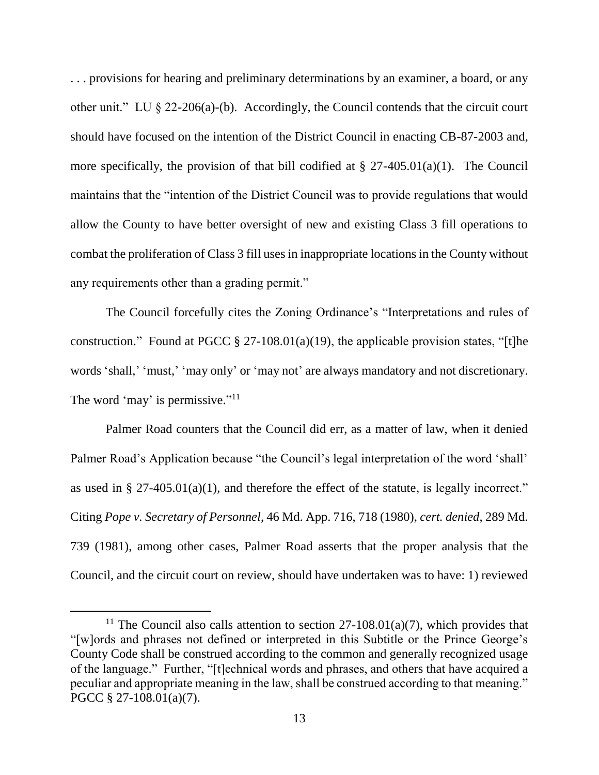. . . provisions for hearing and preliminary determinations by an examiner, a board, or any other unit." LU § 22-206(a)-(b). Accordingly, the Council contends that the circuit court should have focused on the intention of the District Council in enacting CB-87-2003 and, more specifically, the provision of that bill codified at  $\S 27-405.01(a)(1)$ . The Council maintains that the "intention of the District Council was to provide regulations that would allow the County to have better oversight of new and existing Class 3 fill operations to combat the proliferation of Class 3 fill uses in inappropriate locations in the County without any requirements other than a grading permit."

The Council forcefully cites the Zoning Ordinance's "Interpretations and rules of construction." Found at PGCC  $\S 27-108.01(a)(19)$ , the applicable provision states, "[t]he words 'shall,' 'must,' 'may only' or 'may not' are always mandatory and not discretionary. The word 'may' is permissive."<sup>11</sup>

Palmer Road counters that the Council did err, as a matter of law, when it denied Palmer Road's Application because "the Council's legal interpretation of the word 'shall' as used in § 27-405.01(a)(1), and therefore the effect of the statute, is legally incorrect." Citing *Pope v. Secretary of Personnel*, 46 Md. App. 716, 718 (1980), *cert. denied*, 289 Md. 739 (1981), among other cases, Palmer Road asserts that the proper analysis that the Council, and the circuit court on review, should have undertaken was to have: 1) reviewed

<sup>&</sup>lt;sup>11</sup> The Council also calls attention to section  $27-108.01(a)(7)$ , which provides that "[w]ords and phrases not defined or interpreted in this Subtitle or the Prince George's County Code shall be construed according to the common and generally recognized usage of the language." Further, "[t]echnical words and phrases, and others that have acquired a peculiar and appropriate meaning in the law, shall be construed according to that meaning." PGCC § 27-108.01(a)(7).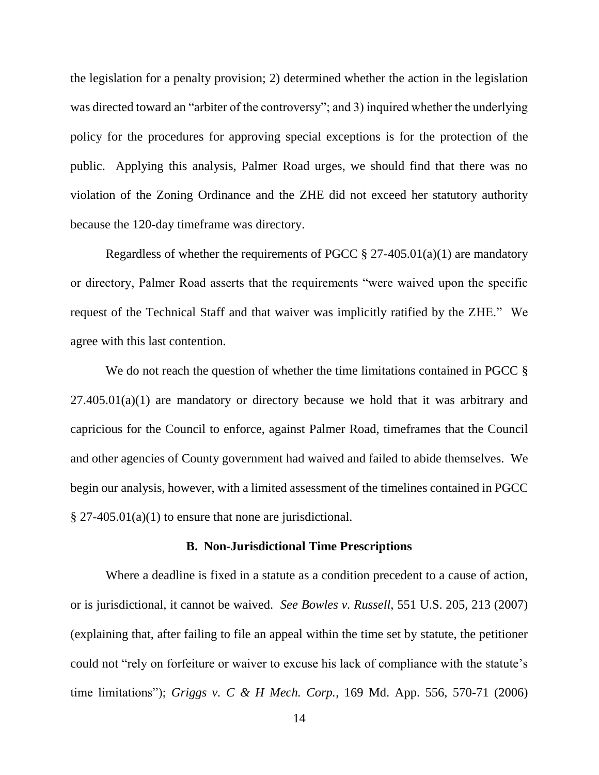the legislation for a penalty provision; 2) determined whether the action in the legislation was directed toward an "arbiter of the controversy"; and 3) inquired whether the underlying policy for the procedures for approving special exceptions is for the protection of the public. Applying this analysis, Palmer Road urges, we should find that there was no violation of the Zoning Ordinance and the ZHE did not exceed her statutory authority because the 120-day timeframe was directory.

Regardless of whether the requirements of PGCC  $\S 27-405.01(a)(1)$  are mandatory or directory, Palmer Road asserts that the requirements "were waived upon the specific request of the Technical Staff and that waiver was implicitly ratified by the ZHE." We agree with this last contention.

We do not reach the question of whether the time limitations contained in PGCC  $\S$  $27.405.01(a)(1)$  are mandatory or directory because we hold that it was arbitrary and capricious for the Council to enforce, against Palmer Road, timeframes that the Council and other agencies of County government had waived and failed to abide themselves. We begin our analysis, however, with a limited assessment of the timelines contained in PGCC  $§$  27-405.01(a)(1) to ensure that none are jurisdictional.

### **B. Non-Jurisdictional Time Prescriptions**

Where a deadline is fixed in a statute as a condition precedent to a cause of action, or is jurisdictional, it cannot be waived. *See Bowles v. Russell*, 551 U.S. 205, 213 (2007) (explaining that, after failing to file an appeal within the time set by statute, the petitioner could not "rely on forfeiture or waiver to excuse his lack of compliance with the statute's time limitations"); *Griggs v. C & H Mech. Corp.*, 169 Md. App. 556, 570-71 (2006)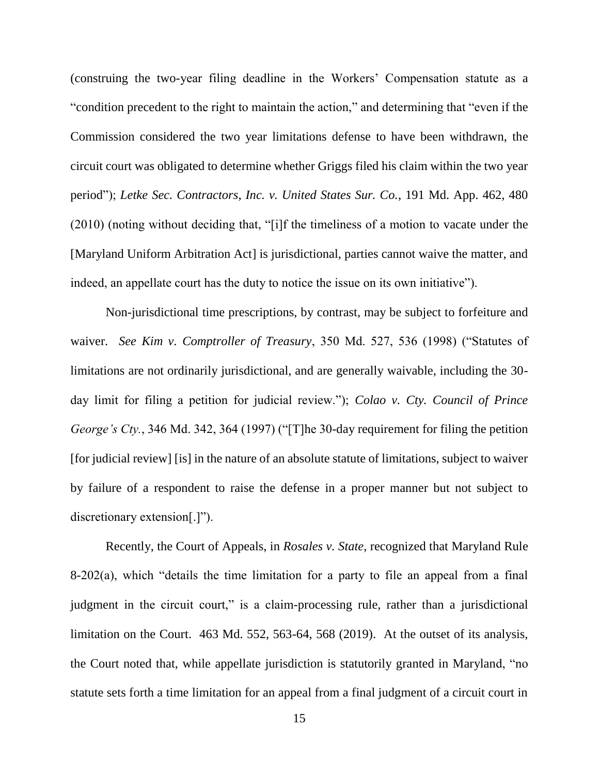(construing the two-year filing deadline in the Workers' Compensation statute as a "condition precedent to the right to maintain the action," and determining that "even if the Commission considered the two year limitations defense to have been withdrawn, the circuit court was obligated to determine whether Griggs filed his claim within the two year period"); *Letke Sec. Contractors, Inc. v. United States Sur. Co.*, 191 Md. App. 462, 480 (2010) (noting without deciding that, "[i]f the timeliness of a motion to vacate under the [Maryland Uniform Arbitration Act] is jurisdictional, parties cannot waive the matter, and indeed, an appellate court has the duty to notice the issue on its own initiative").

Non-jurisdictional time prescriptions, by contrast, may be subject to forfeiture and waiver. *See Kim v. Comptroller of Treasury*, 350 Md. 527, 536 (1998) ("Statutes of limitations are not ordinarily jurisdictional, and are generally waivable, including the 30 day limit for filing a petition for judicial review."); *Colao v. Cty. Council of Prince George's Cty.*, 346 Md. 342, 364 (1997) ("[T]he 30-day requirement for filing the petition [for judicial review] [is] in the nature of an absolute statute of limitations, subject to waiver by failure of a respondent to raise the defense in a proper manner but not subject to discretionary extension[.]").

Recently, the Court of Appeals, in *Rosales v. State*, recognized that Maryland Rule 8-202(a), which "details the time limitation for a party to file an appeal from a final judgment in the circuit court," is a claim-processing rule, rather than a jurisdictional limitation on the Court. 463 Md. 552, 563-64, 568 (2019). At the outset of its analysis, the Court noted that, while appellate jurisdiction is statutorily granted in Maryland, "no statute sets forth a time limitation for an appeal from a final judgment of a circuit court in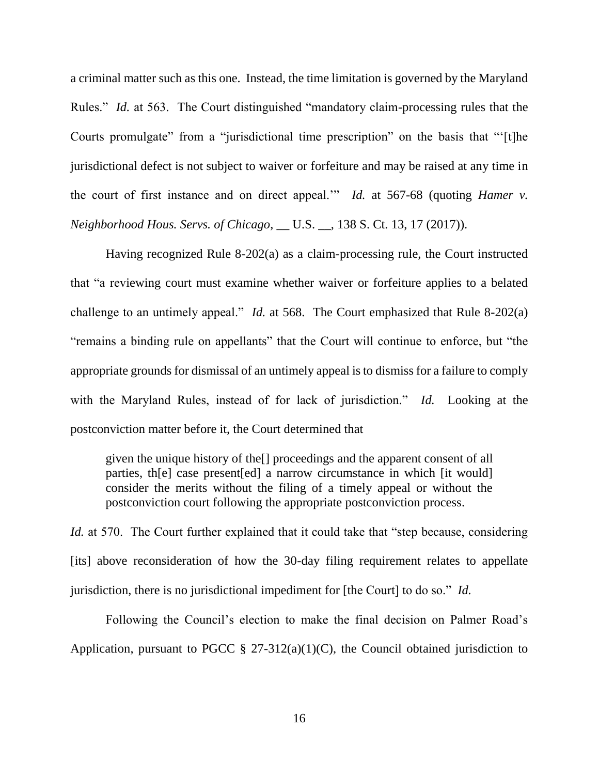a criminal matter such as this one. Instead, the time limitation is governed by the Maryland Rules." *Id.* at 563. The Court distinguished "mandatory claim-processing rules that the Courts promulgate" from a "jurisdictional time prescription" on the basis that "'[t]he jurisdictional defect is not subject to waiver or forfeiture and may be raised at any time in the court of first instance and on direct appeal.'" *Id.* at 567-68 (quoting *Hamer v. Neighborhood Hous. Servs. of Chicago*, \_\_ U.S. \_\_, 138 S. Ct. 13, 17 (2017)).

Having recognized Rule 8-202(a) as a claim-processing rule, the Court instructed that "a reviewing court must examine whether waiver or forfeiture applies to a belated challenge to an untimely appeal." *Id.* at 568. The Court emphasized that Rule 8-202(a) "remains a binding rule on appellants" that the Court will continue to enforce, but "the appropriate grounds for dismissal of an untimely appeal is to dismiss for a failure to comply with the Maryland Rules, instead of for lack of jurisdiction." *Id.* Looking at the postconviction matter before it, the Court determined that

given the unique history of the[] proceedings and the apparent consent of all parties, th[e] case present[ed] a narrow circumstance in which [it would] consider the merits without the filing of a timely appeal or without the postconviction court following the appropriate postconviction process.

*Id.* at 570. The Court further explained that it could take that "step because, considering [its] above reconsideration of how the 30-day filing requirement relates to appellate jurisdiction, there is no jurisdictional impediment for [the Court] to do so." *Id.*

Following the Council's election to make the final decision on Palmer Road's Application, pursuant to PGCC  $\S$  27-312(a)(1)(C), the Council obtained jurisdiction to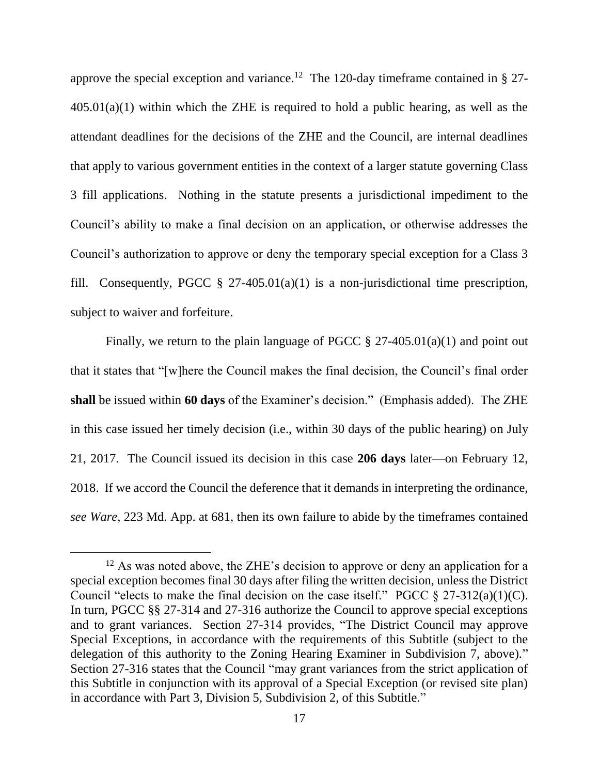approve the special exception and variance.<sup>12</sup> The 120-day timeframe contained in § 27- $405.01(a)(1)$  within which the ZHE is required to hold a public hearing, as well as the attendant deadlines for the decisions of the ZHE and the Council, are internal deadlines that apply to various government entities in the context of a larger statute governing Class 3 fill applications. Nothing in the statute presents a jurisdictional impediment to the Council's ability to make a final decision on an application, or otherwise addresses the Council's authorization to approve or deny the temporary special exception for a Class 3 fill. Consequently, PGCC  $\S$  27-405.01(a)(1) is a non-jurisdictional time prescription, subject to waiver and forfeiture.

Finally, we return to the plain language of PGCC  $\S 27-405.01(a)(1)$  and point out that it states that "[w]here the Council makes the final decision, the Council's final order **shall** be issued within **60 days** of the Examiner's decision." (Emphasis added). The ZHE in this case issued her timely decision (i.e., within 30 days of the public hearing) on July 21, 2017. The Council issued its decision in this case **206 days** later—on February 12, 2018. If we accord the Council the deference that it demands in interpreting the ordinance, *see Ware*, 223 Md. App. at 681, then its own failure to abide by the timeframes contained

 $12$  As was noted above, the ZHE's decision to approve or deny an application for a special exception becomes final 30 days after filing the written decision, unless the District Council "elects to make the final decision on the case itself." PGCC  $\S 27-312(a)(1)(C)$ . In turn, PGCC §§ 27-314 and 27-316 authorize the Council to approve special exceptions and to grant variances. Section 27-314 provides, "The District Council may approve Special Exceptions, in accordance with the requirements of this Subtitle (subject to the delegation of this authority to the Zoning Hearing Examiner in Subdivision 7, above)." Section 27-316 states that the Council "may grant variances from the strict application of this Subtitle in conjunction with its approval of a Special Exception (or revised site plan) in accordance with Part 3, Division 5, Subdivision 2, of this Subtitle."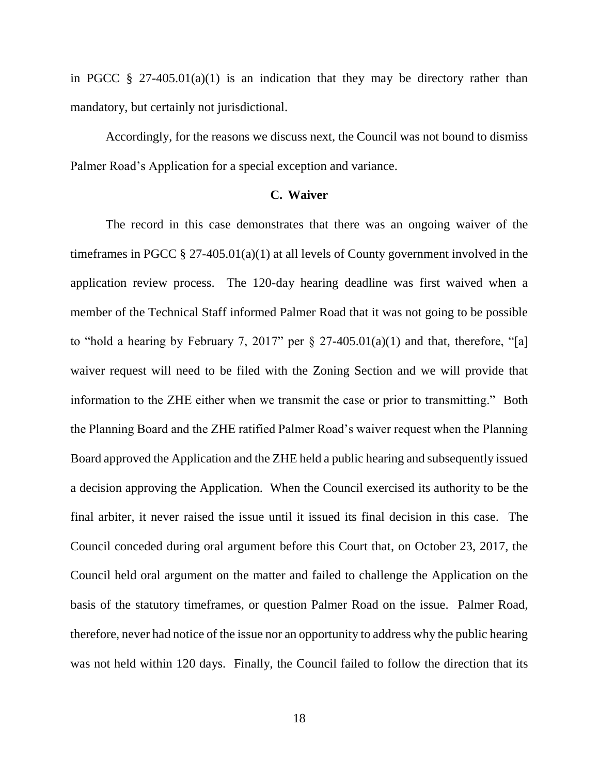in PGCC  $\S$  27-405.01(a)(1) is an indication that they may be directory rather than mandatory, but certainly not jurisdictional.

Accordingly, for the reasons we discuss next, the Council was not bound to dismiss Palmer Road's Application for a special exception and variance.

### **C. Waiver**

The record in this case demonstrates that there was an ongoing waiver of the timeframes in PGCC  $\S 27-405.01(a)(1)$  at all levels of County government involved in the application review process. The 120-day hearing deadline was first waived when a member of the Technical Staff informed Palmer Road that it was not going to be possible to "hold a hearing by February 7, 2017" per  $\S 27-405.01(a)(1)$  and that, therefore, "[a] waiver request will need to be filed with the Zoning Section and we will provide that information to the ZHE either when we transmit the case or prior to transmitting." Both the Planning Board and the ZHE ratified Palmer Road's waiver request when the Planning Board approved the Application and the ZHE held a public hearing and subsequently issued a decision approving the Application. When the Council exercised its authority to be the final arbiter, it never raised the issue until it issued its final decision in this case. The Council conceded during oral argument before this Court that, on October 23, 2017, the Council held oral argument on the matter and failed to challenge the Application on the basis of the statutory timeframes, or question Palmer Road on the issue. Palmer Road, therefore, never had notice of the issue nor an opportunity to address why the public hearing was not held within 120 days. Finally, the Council failed to follow the direction that its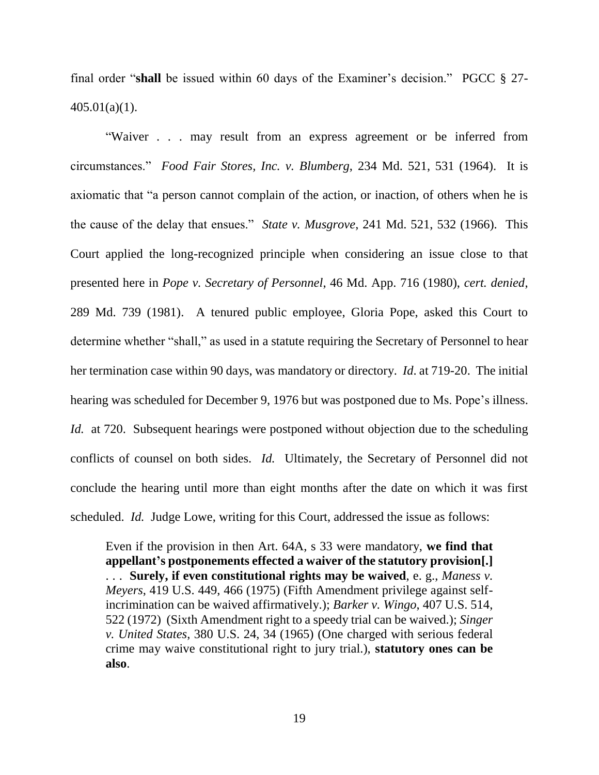final order "**shall** be issued within 60 days of the Examiner's decision." PGCC § 27- 405.01(a)(1).

"Waiver . . . may result from an express agreement or be inferred from circumstances." *Food Fair Stores, Inc. v. Blumberg*, 234 Md. 521, 531 (1964). It is axiomatic that "a person cannot complain of the action, or inaction, of others when he is the cause of the delay that ensues." *State v. Musgrove*, 241 Md. 521, 532 (1966). This Court applied the long-recognized principle when considering an issue close to that presented here in *Pope v. Secretary of Personnel*, 46 Md. App. 716 (1980), *cert. denied*, 289 Md. 739 (1981). A tenured public employee, Gloria Pope, asked this Court to determine whether "shall," as used in a statute requiring the Secretary of Personnel to hear her termination case within 90 days, was mandatory or directory. *Id*. at 719-20. The initial hearing was scheduled for December 9, 1976 but was postponed due to Ms. Pope's illness. *Id.* at 720. Subsequent hearings were postponed without objection due to the scheduling conflicts of counsel on both sides. *Id.* Ultimately, the Secretary of Personnel did not conclude the hearing until more than eight months after the date on which it was first scheduled. *Id.* Judge Lowe, writing for this Court, addressed the issue as follows:

Even if the provision in then Art. 64A, s 33 were mandatory, **we find that appellant's postponements effected a waiver of the statutory provision[.]** . . . **Surely, if even constitutional rights may be waived**, e. g., *Maness v. Meyers*, 419 U.S. 449, 466 (1975) (Fifth Amendment privilege against selfincrimination can be waived affirmatively.); *Barker v. Wingo*, 407 U.S. 514, 522 (1972) (Sixth Amendment right to a speedy trial can be waived.); *Singer v. United States*, 380 U.S. 24, 34 (1965) (One charged with serious federal crime may waive constitutional right to jury trial.), **statutory ones can be also**.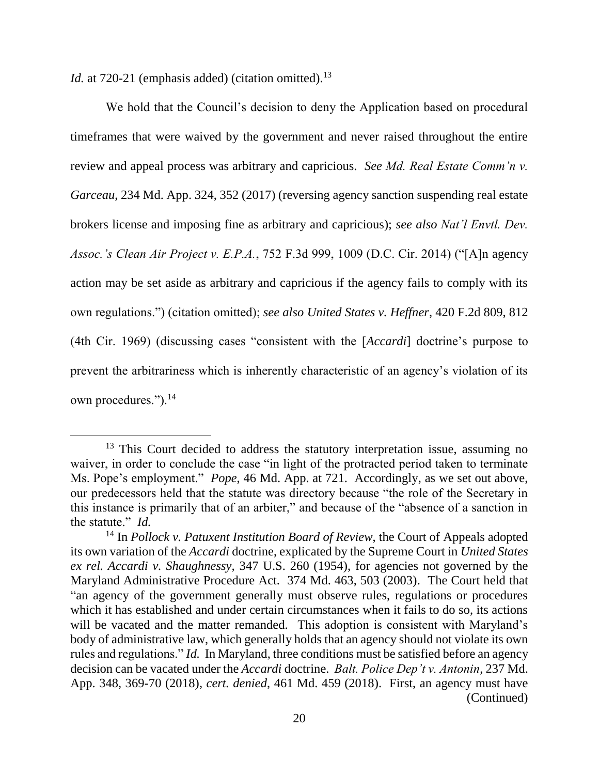*Id.* at 720-21 (emphasis added) (citation omitted).<sup>13</sup>

We hold that the Council's decision to deny the Application based on procedural timeframes that were waived by the government and never raised throughout the entire review and appeal process was arbitrary and capricious. *See Md. Real Estate Comm'n v. Garceau*, 234 Md. App. 324, 352 (2017) (reversing agency sanction suspending real estate brokers license and imposing fine as arbitrary and capricious); *see also Nat'l Envtl. Dev. Assoc.'s Clean Air Project v. E.P.A.*, 752 F.3d 999, 1009 (D.C. Cir. 2014) ("[A]n agency action may be set aside as arbitrary and capricious if the agency fails to comply with its own regulations.") (citation omitted); *see also United States v. Heffner*, 420 F.2d 809, 812 (4th Cir. 1969) (discussing cases "consistent with the [*Accardi*] doctrine's purpose to prevent the arbitrariness which is inherently characteristic of an agency's violation of its own procedures.").<sup>14</sup>

<sup>&</sup>lt;sup>13</sup> This Court decided to address the statutory interpretation issue, assuming no waiver, in order to conclude the case "in light of the protracted period taken to terminate Ms. Pope's employment." *Pope*, 46 Md. App. at 721. Accordingly, as we set out above, our predecessors held that the statute was directory because "the role of the Secretary in this instance is primarily that of an arbiter," and because of the "absence of a sanction in the statute." *Id.*

<sup>14</sup> In *Pollock v. Patuxent Institution Board of Review*, the Court of Appeals adopted its own variation of the *Accardi* doctrine, explicated by the Supreme Court in *United States ex rel. Accardi v. Shaughnessy,* 347 U.S. 260 (1954), for agencies not governed by the Maryland Administrative Procedure Act. 374 Md. 463, 503 (2003). The Court held that "an agency of the government generally must observe rules, regulations or procedures which it has established and under certain circumstances when it fails to do so, its actions will be vacated and the matter remanded. This adoption is consistent with Maryland's body of administrative law, which generally holds that an agency should not violate its own rules and regulations." *Id.* In Maryland, three conditions must be satisfied before an agency decision can be vacated under the *Accardi* doctrine. *Balt. Police Dep't v. Antonin*, 237 Md. App. 348, 369-70 (2018), *cert. denied*, 461 Md. 459 (2018). First, an agency must have (Continued)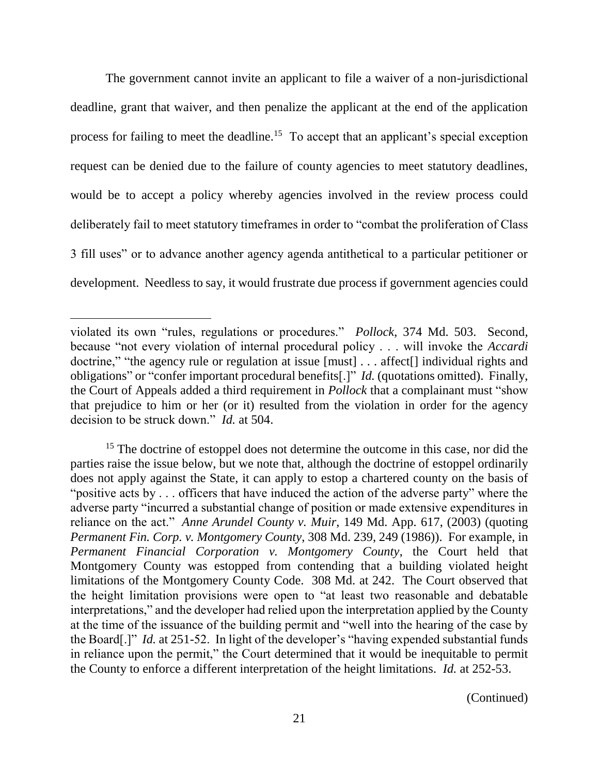The government cannot invite an applicant to file a waiver of a non-jurisdictional deadline, grant that waiver, and then penalize the applicant at the end of the application process for failing to meet the deadline.<sup>15</sup> To accept that an applicant's special exception request can be denied due to the failure of county agencies to meet statutory deadlines, would be to accept a policy whereby agencies involved in the review process could deliberately fail to meet statutory timeframes in order to "combat the proliferation of Class 3 fill uses" or to advance another agency agenda antithetical to a particular petitioner or development. Needless to say, it would frustrate due process if government agencies could

<sup>15</sup> The doctrine of estoppel does not determine the outcome in this case, nor did the parties raise the issue below, but we note that, although the doctrine of estoppel ordinarily does not apply against the State, it can apply to estop a chartered county on the basis of "positive acts by . . . officers that have induced the action of the adverse party" where the adverse party "incurred a substantial change of position or made extensive expenditures in reliance on the act." *Anne Arundel County v. Muir*, 149 Md. App. 617, (2003) (quoting *Permanent Fin. Corp. v. Montgomery County*, 308 Md. 239, 249 (1986)). For example, in *Permanent Financial Corporation v. Montgomery County*, the Court held that Montgomery County was estopped from contending that a building violated height limitations of the Montgomery County Code. 308 Md. at 242. The Court observed that the height limitation provisions were open to "at least two reasonable and debatable interpretations," and the developer had relied upon the interpretation applied by the County at the time of the issuance of the building permit and "well into the hearing of the case by the Board[.]" *Id.* at 251-52. In light of the developer's "having expended substantial funds in reliance upon the permit," the Court determined that it would be inequitable to permit the County to enforce a different interpretation of the height limitations. *Id.* at 252-53.

(Continued)

violated its own "rules, regulations or procedures." *Pollock*, 374 Md. 503. Second, because "not every violation of internal procedural policy . . . will invoke the *Accardi* doctrine," "the agency rule or regulation at issue [must] . . . affect<sup>[]</sup> individual rights and obligations" or "confer important procedural benefits[.]" *Id.* (quotations omitted). Finally, the Court of Appeals added a third requirement in *Pollock* that a complainant must "show that prejudice to him or her (or it) resulted from the violation in order for the agency decision to be struck down." *Id.* at 504.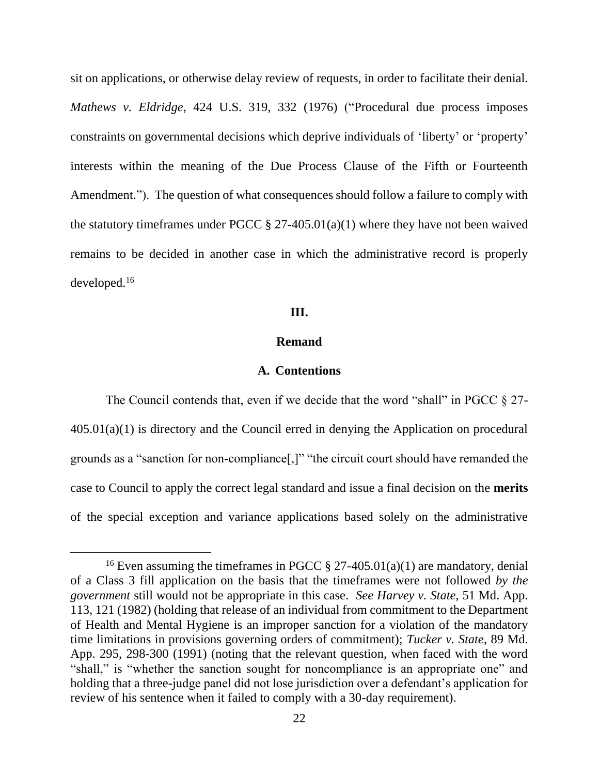sit on applications, or otherwise delay review of requests, in order to facilitate their denial. *Mathews v. Eldridge*, 424 U.S. 319, 332 (1976) ("Procedural due process imposes constraints on governmental decisions which deprive individuals of 'liberty' or 'property' interests within the meaning of the Due Process Clause of the Fifth or Fourteenth Amendment."). The question of what consequences should follow a failure to comply with the statutory timeframes under PGCC  $\S 27-405.01(a)(1)$  where they have not been waived remains to be decided in another case in which the administrative record is properly developed.<sup>16</sup>

### **III.**

### **Remand**

#### **A. Contentions**

The Council contends that, even if we decide that the word "shall" in PGCC  $\S 27$ -405.01(a)(1) is directory and the Council erred in denying the Application on procedural grounds as a "sanction for non-compliance[,]" "the circuit court should have remanded the case to Council to apply the correct legal standard and issue a final decision on the **merits** of the special exception and variance applications based solely on the administrative

<sup>&</sup>lt;sup>16</sup> Even assuming the timeframes in PGCC  $\S 27-405.01(a)(1)$  are mandatory, denial of a Class 3 fill application on the basis that the timeframes were not followed *by the government* still would not be appropriate in this case. *See Harvey v. State*, 51 Md. App. 113, 121 (1982) (holding that release of an individual from commitment to the Department of Health and Mental Hygiene is an improper sanction for a violation of the mandatory time limitations in provisions governing orders of commitment); *Tucker v. State*, 89 Md. App. 295, 298-300 (1991) (noting that the relevant question, when faced with the word "shall," is "whether the sanction sought for noncompliance is an appropriate one" and holding that a three-judge panel did not lose jurisdiction over a defendant's application for review of his sentence when it failed to comply with a 30-day requirement).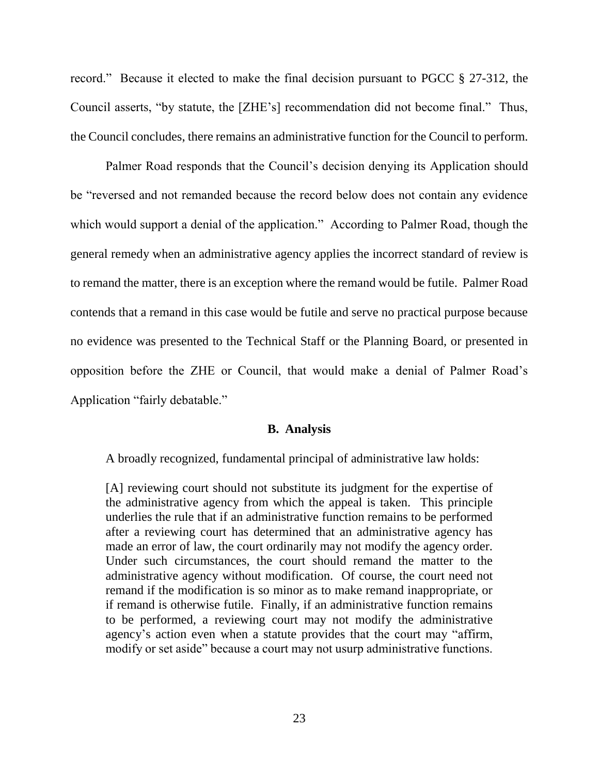record." Because it elected to make the final decision pursuant to PGCC § 27-312, the Council asserts, "by statute, the [ZHE's] recommendation did not become final." Thus, the Council concludes, there remains an administrative function for the Council to perform.

Palmer Road responds that the Council's decision denying its Application should be "reversed and not remanded because the record below does not contain any evidence which would support a denial of the application." According to Palmer Road, though the general remedy when an administrative agency applies the incorrect standard of review is to remand the matter, there is an exception where the remand would be futile. Palmer Road contends that a remand in this case would be futile and serve no practical purpose because no evidence was presented to the Technical Staff or the Planning Board, or presented in opposition before the ZHE or Council, that would make a denial of Palmer Road's Application "fairly debatable."

#### **B. Analysis**

A broadly recognized, fundamental principal of administrative law holds:

[A] reviewing court should not substitute its judgment for the expertise of the administrative agency from which the appeal is taken. This principle underlies the rule that if an administrative function remains to be performed after a reviewing court has determined that an administrative agency has made an error of law, the court ordinarily may not modify the agency order. Under such circumstances, the court should remand the matter to the administrative agency without modification. Of course, the court need not remand if the modification is so minor as to make remand inappropriate, or if remand is otherwise futile. Finally, if an administrative function remains to be performed, a reviewing court may not modify the administrative agency's action even when a statute provides that the court may "affirm, modify or set aside" because a court may not usurp administrative functions.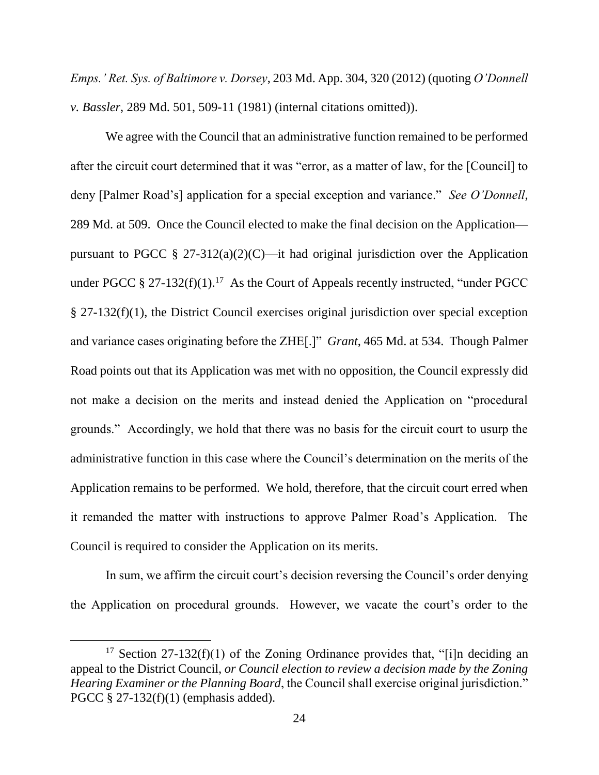*Emps.' Ret. Sys. of Baltimore v. Dorsey*, 203 Md. App. 304, 320 (2012) (quoting *O'Donnell v. Bassler*, 289 Md. 501, 509-11 (1981) (internal citations omitted)).

We agree with the Council that an administrative function remained to be performed after the circuit court determined that it was "error, as a matter of law, for the [Council] to deny [Palmer Road's] application for a special exception and variance." *See O'Donnell*, 289 Md. at 509. Once the Council elected to make the final decision on the Application pursuant to PGCC § 27-312(a)(2)(C)—it had original jurisdiction over the Application under PGCC § 27-132(f)(1).<sup>17</sup> As the Court of Appeals recently instructed, "under PGCC § 27-132(f)(1), the District Council exercises original jurisdiction over special exception and variance cases originating before the ZHE[.]" *Grant*, 465 Md. at 534. Though Palmer Road points out that its Application was met with no opposition, the Council expressly did not make a decision on the merits and instead denied the Application on "procedural grounds." Accordingly, we hold that there was no basis for the circuit court to usurp the administrative function in this case where the Council's determination on the merits of the Application remains to be performed. We hold, therefore, that the circuit court erred when it remanded the matter with instructions to approve Palmer Road's Application. The Council is required to consider the Application on its merits.

In sum, we affirm the circuit court's decision reversing the Council's order denying the Application on procedural grounds. However, we vacate the court's order to the

<sup>&</sup>lt;sup>17</sup> Section 27-132(f)(1) of the Zoning Ordinance provides that, "[i]n deciding an appeal to the District Council, *or Council election to review a decision made by the Zoning Hearing Examiner or the Planning Board*, the Council shall exercise original jurisdiction." PGCC § 27-132(f)(1) (emphasis added).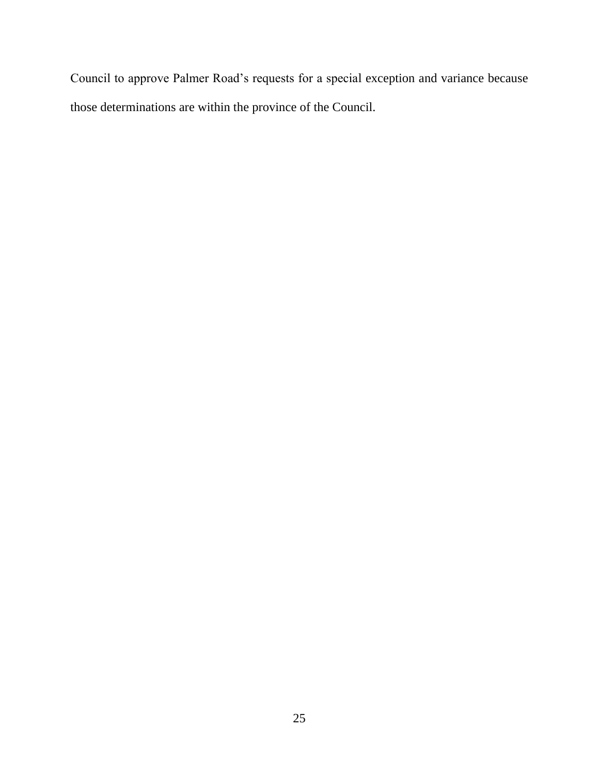Council to approve Palmer Road's requests for a special exception and variance because those determinations are within the province of the Council.